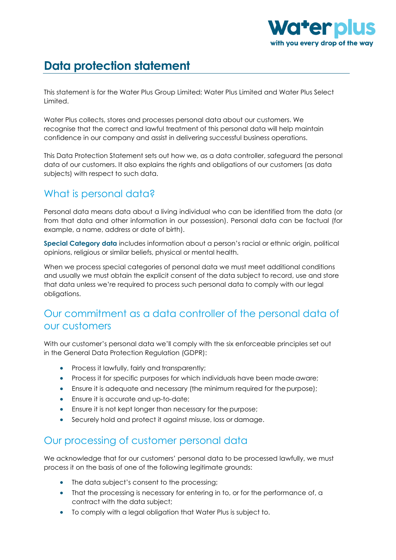

# **Data protection statement**

This statement is for the Water Plus Group Limited; Water Plus Limited and Water Plus Select Limited.

Water Plus collects, stores and processes personal data about our customers. We recognise that the correct and lawful treatment of this personal data will help maintain confidence in our company and assist in delivering successful business operations.

This Data Protection Statement sets out how we, as a data controller, safeguard the personal data of our customers. It also explains the rights and obligations of our customers (as data subjects) with respect to such data.

#### What is personal data?

Personal data means data about a living individual who can be identified from the data (or from that data and other information in our possession). Personal data can be factual (for example, a name, address or date of birth).

**Special Category data** includes information about a person's racial or ethnic origin, political opinions, religious or similar beliefs, physical or mental health.

When we process special categories of personal data we must meet additional conditions and usually we must obtain the explicit consent of the data subject to record, use and store that data unless we're required to process such personal data to comply with our legal obligations.

#### Our commitment as a data controller of the personal data of our customers

With our customer's personal data we'll comply with the six enforceable principles set out in the General Data Protection Regulation (GDPR):

- Process it lawfully, fairly and transparently;
- Process it for specific purposes for which individuals have been made aware;
- Ensure it is adequate and necessary (the minimum required for the purpose);
- Ensure it is accurate and up-to-date;
- Ensure it is not kept longer than necessary for the purpose;
- Securely hold and protect it against misuse, loss or damage.

#### Our processing of customer personal data

We acknowledge that for our customers' personal data to be processed lawfully, we must process it on the basis of one of the following legitimate grounds:

- The data subject's consent to the processing;
- That the processing is necessary for entering in to, or for the performance of, a contract with the data subject;
- To comply with a legal obligation that Water Plus is subject to.